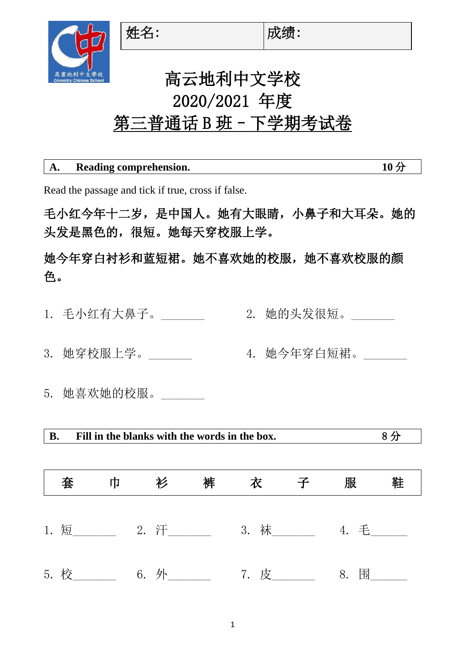

## 高云地利中文学校 2020/2021 年度 第三普通话 B 班 - 下学期考试卷

| A. | Reading comprehension. |  |
|----|------------------------|--|
|    |                        |  |

Read the passage and tick if true, cross if false.

毛小红今年十二岁,是中国人。她有大眼睛,小鼻子和大耳朵。她的 头发是黑色的,很短。她每天穿校服上学。

她今年穿白衬衫和蓝短裙。她不喜欢她的校服,她不喜欢校服的颜 色。

- 1. 毛小红有大鼻子。\_\_\_\_\_\_\_ 2. 她的头发很短。\_\_\_\_\_\_\_
- 3. 她穿校服上学。\_\_\_\_\_\_\_ 4. 她今年穿白短裙。\_\_\_\_\_\_\_
- 5. 她喜欢她的校服。

**B. Fill in the blanks with the words in the box.** 8 分

| 套    | 巾 | 衫    | 裤 | 衣           | 服    | 鞋 |
|------|---|------|---|-------------|------|---|
|      |   |      |   | 3. 袜_______ | 4. 毛 |   |
| 5. 校 |   | 6. 外 |   | 7. 皮______  | 8. 围 |   |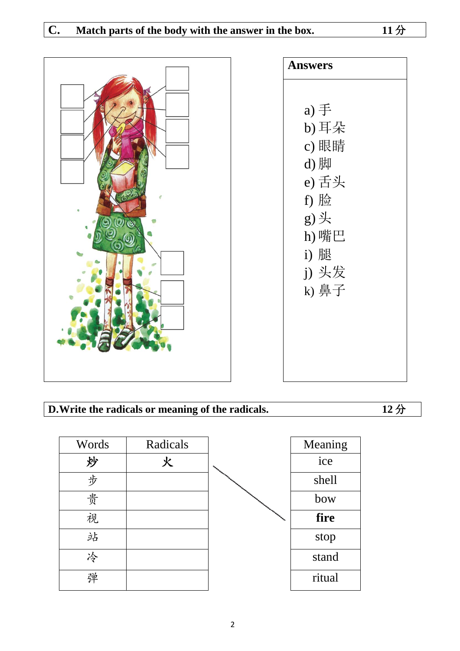



## **D.Write the radicals or meaning of the radicals. 12** 分

| Words | Radicals | Meaning |
|-------|----------|---------|
| 炒     | 火        | ice     |
| 步     |          | shell   |
| 贵     |          | bow     |
| 视     |          | fire    |
| 站     |          | stop    |
| 冷     |          | stand   |
| 弹     |          | ritual  |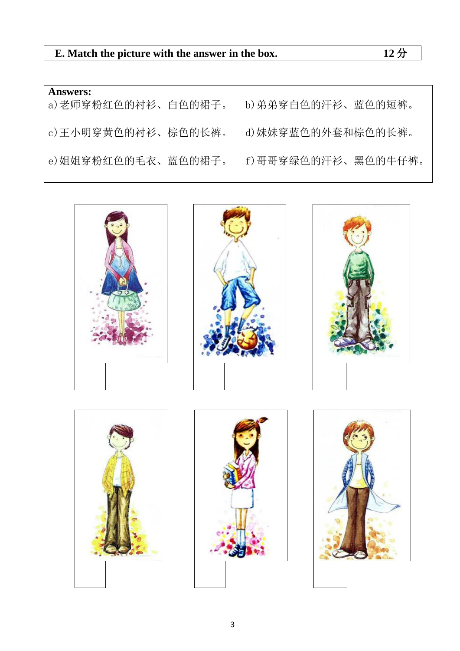| <b>Answers:</b><br>a) 老师穿粉红色的衬衫、白色的裙子。 | b) 弟弟穿白色的汗衫、蓝色的短裤。 |
|----------------------------------------|--------------------|
| c) 王小明穿黄色的衬衫、棕色的长裤。                    | d) 妹妹穿蓝色的外套和棕色的长裤。 |
| e) 姐姐穿粉红色的毛衣、蓝色的裙子。                    | f)哥哥穿绿色的汗衫、黑色的牛仔裤。 |

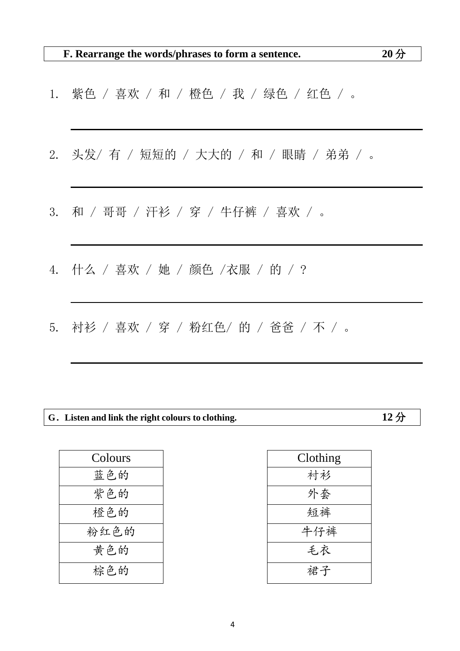- 1. 紫色 / 喜欢 / 和 / 橙色 / 我 / 绿色 / 红色 / 。
- 2. 头发/ 有 / 短短的 / 大大的 / 和 / 眼睛 / 弟弟 / 。
- 3. 和 / 哥哥 / 汗衫 / 穿 / 牛仔裤 / 喜欢 / 。
- 4. 什么 / 喜欢 / 她 / 颜色 /衣服 / 的 / ?
- 5. 衬衫 / 喜欢 / 穿 / 粉红色/ 的 / 爸爸 / 不 / 。

## **G.Listen and link the right colours to clothing. 12** 分

| Clothing |
|----------|
| 衬衫       |
| 外套       |
| 短裤       |
| 牛仔裤      |
| 毛衣       |
| 裙子       |
|          |

| Clothing |
|----------|
| 衬衫       |
| 外套       |
| 短裤       |
| 牛仔裤      |
| 毛衣       |
| 裙子       |
|          |